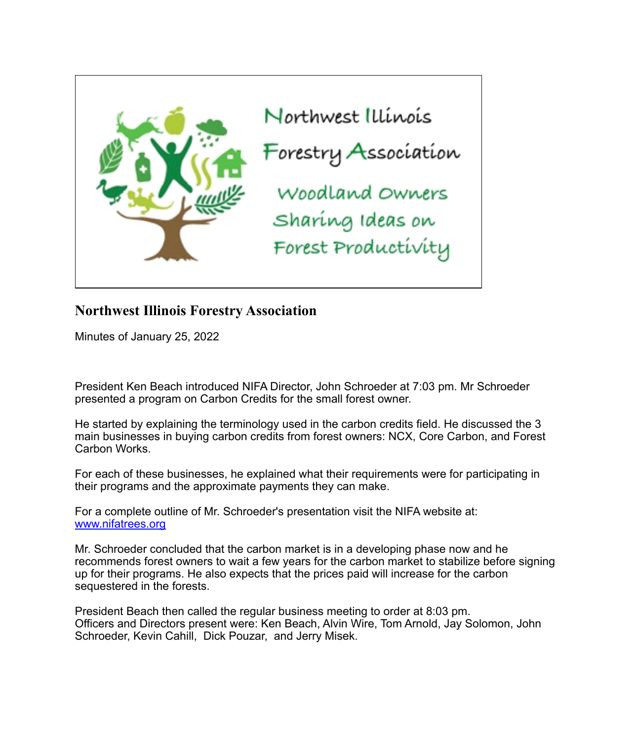

# **Northwest Illinois Forestry Association**

Minutes of January 25, 2022

President Ken Beach introduced NIFA Director, John Schroeder at 7:03 pm. Mr Schroeder presented a program on Carbon Credits for the small forest owner.

He started by explaining the terminology used in the carbon credits field. He discussed the 3 main businesses in buying carbon credits from forest owners: NCX, Core Carbon, and Forest Carbon Works.

For each of these businesses, he explained what their requirements were for participating in their programs and the approximate payments they can make.

For a complete outline of Mr. Schroeder's presentation visit the NIFA website at: [www.nifatrees.org](http://www.nifatrees.org/)

Mr. Schroeder concluded that the carbon market is in a developing phase now and he recommends forest owners to wait a few years for the carbon market to stabilize before signing up for their programs. He also expects that the prices paid will increase for the carbon sequestered in the forests.

President Beach then called the regular business meeting to order at 8:03 pm. Officers and Directors present were: Ken Beach, Alvin Wire, Tom Arnold, Jay Solomon, John Schroeder, Kevin Cahill, Dick Pouzar, and Jerry Misek.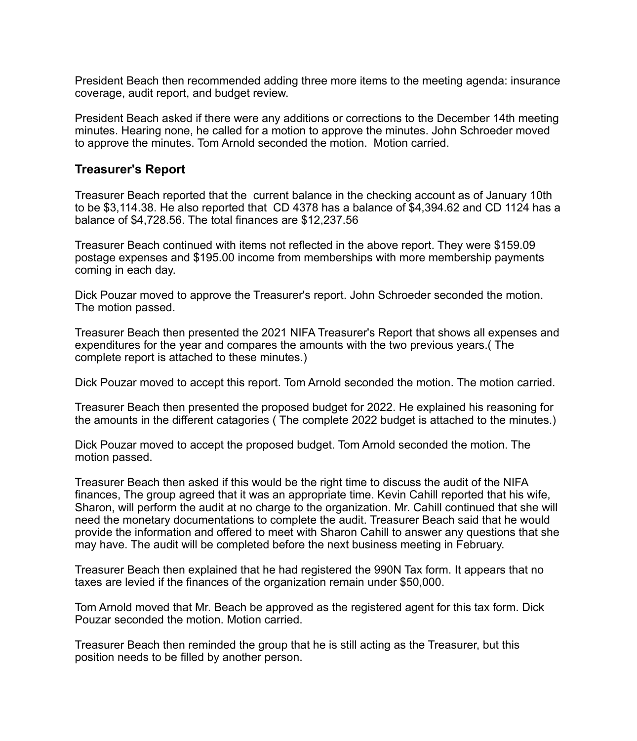President Beach then recommended adding three more items to the meeting agenda: insurance coverage, audit report, and budget review.

President Beach asked if there were any additions or corrections to the December 14th meeting minutes. Hearing none, he called for a motion to approve the minutes. John Schroeder moved to approve the minutes. Tom Arnold seconded the motion. Motion carried.

## **Treasurer's Report**

Treasurer Beach reported that the current balance in the checking account as of January 10th to be \$3,114.38. He also reported that CD 4378 has a balance of \$4,394.62 and CD 1124 has a balance of \$4,728.56. The total finances are \$12,237.56

Treasurer Beach continued with items not reflected in the above report. They were \$159.09 postage expenses and \$195.00 income from memberships with more membership payments coming in each day.

Dick Pouzar moved to approve the Treasurer's report. John Schroeder seconded the motion. The motion passed.

Treasurer Beach then presented the 2021 NIFA Treasurer's Report that shows all expenses and expenditures for the year and compares the amounts with the two previous years.( The complete report is attached to these minutes.)

Dick Pouzar moved to accept this report. Tom Arnold seconded the motion. The motion carried.

Treasurer Beach then presented the proposed budget for 2022. He explained his reasoning for the amounts in the different catagories ( The complete 2022 budget is attached to the minutes.)

Dick Pouzar moved to accept the proposed budget. Tom Arnold seconded the motion. The motion passed.

Treasurer Beach then asked if this would be the right time to discuss the audit of the NIFA finances, The group agreed that it was an appropriate time. Kevin Cahill reported that his wife, Sharon, will perform the audit at no charge to the organization. Mr. Cahill continued that she will need the monetary documentations to complete the audit. Treasurer Beach said that he would provide the information and offered to meet with Sharon Cahill to answer any questions that she may have. The audit will be completed before the next business meeting in February.

Treasurer Beach then explained that he had registered the 990N Tax form. It appears that no taxes are levied if the finances of the organization remain under \$50,000.

Tom Arnold moved that Mr. Beach be approved as the registered agent for this tax form. Dick Pouzar seconded the motion. Motion carried.

Treasurer Beach then reminded the group that he is still acting as the Treasurer, but this position needs to be filled by another person.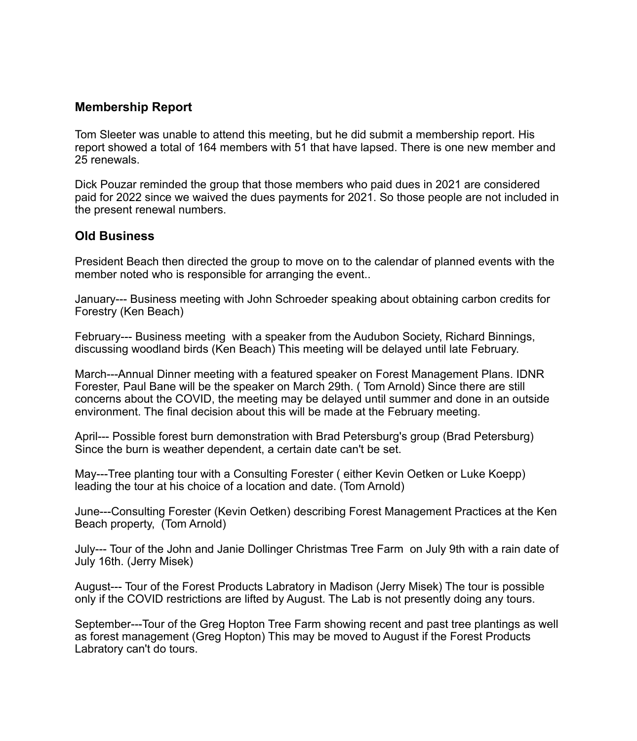# **Membership Report**

Tom Sleeter was unable to attend this meeting, but he did submit a membership report. His report showed a total of 164 members with 51 that have lapsed. There is one new member and 25 renewals.

Dick Pouzar reminded the group that those members who paid dues in 2021 are considered paid for 2022 since we waived the dues payments for 2021. So those people are not included in the present renewal numbers.

## **Old Business**

President Beach then directed the group to move on to the calendar of planned events with the member noted who is responsible for arranging the event..

January--- Business meeting with John Schroeder speaking about obtaining carbon credits for Forestry (Ken Beach)

February--- Business meeting with a speaker from the Audubon Society, Richard Binnings, discussing woodland birds (Ken Beach) This meeting will be delayed until late February.

March---Annual Dinner meeting with a featured speaker on Forest Management Plans. IDNR Forester, Paul Bane will be the speaker on March 29th. ( Tom Arnold) Since there are still concerns about the COVID, the meeting may be delayed until summer and done in an outside environment. The final decision about this will be made at the February meeting.

April--- Possible forest burn demonstration with Brad Petersburg's group (Brad Petersburg) Since the burn is weather dependent, a certain date can't be set.

May---Tree planting tour with a Consulting Forester ( either Kevin Oetken or Luke Koepp) leading the tour at his choice of a location and date. (Tom Arnold)

June---Consulting Forester (Kevin Oetken) describing Forest Management Practices at the Ken Beach property, (Tom Arnold)

July--- Tour of the John and Janie Dollinger Christmas Tree Farm on July 9th with a rain date of July 16th. (Jerry Misek)

August--- Tour of the Forest Products Labratory in Madison (Jerry Misek) The tour is possible only if the COVID restrictions are lifted by August. The Lab is not presently doing any tours.

September---Tour of the Greg Hopton Tree Farm showing recent and past tree plantings as well as forest management (Greg Hopton) This may be moved to August if the Forest Products Labratory can't do tours.